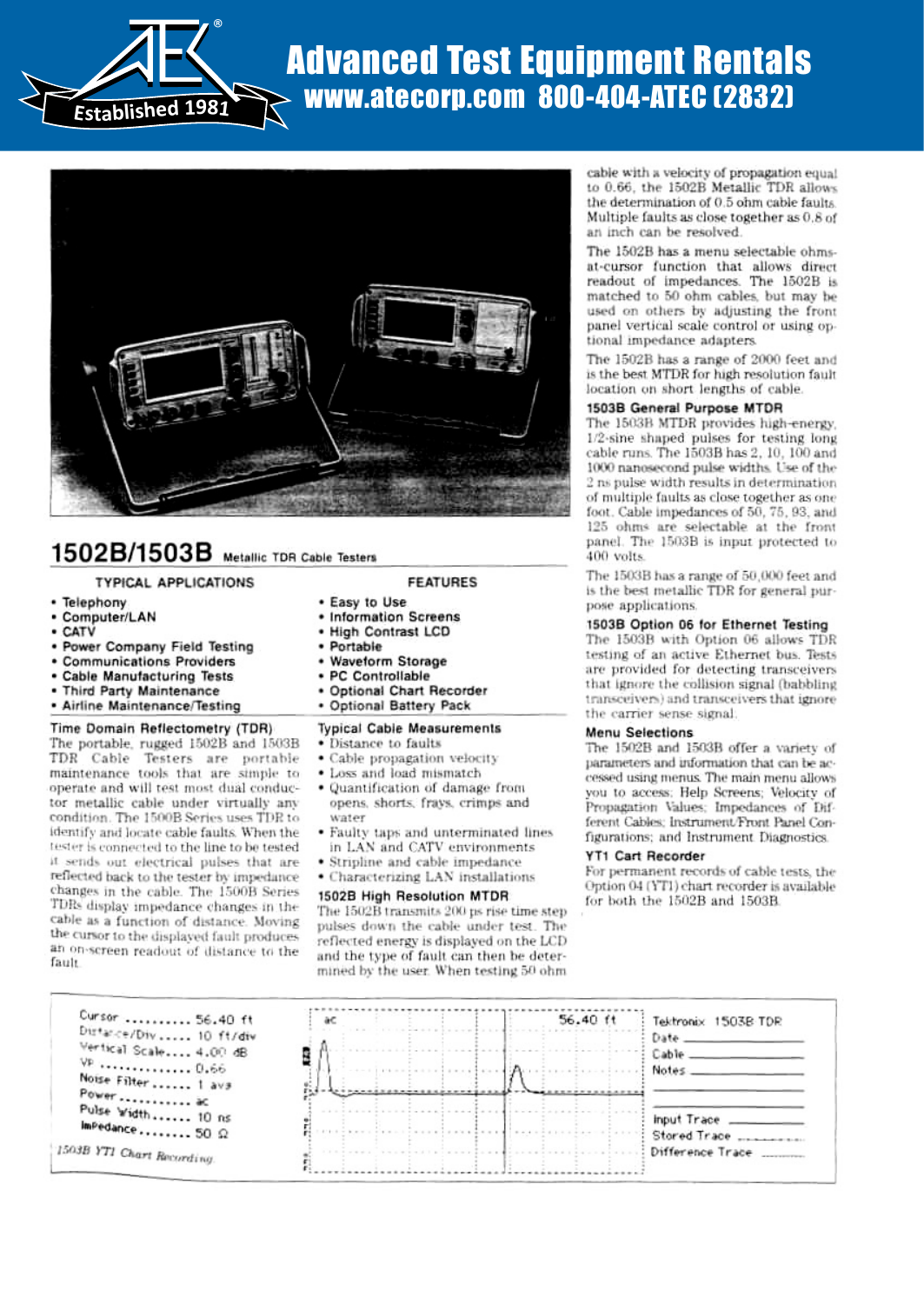

# Advanced Test Equipment Rentals www.atecorp.com 800-404-ATEC (2832)



## 1502B/1503B Metallic TDR Cable Testers

identify and locate cable faults . When the tester is connected to the line to be tested it sends out electrical pulses that are reflected back to the tester by impedance changes in the cable. The 1500B Series TDRs display impedance changes in the cable as a function of distance . Moving the cursor to the displayed fault produces an on-screen readout of distance to the

fault

| <b>TYPICAL APPLICATIONS</b>                                                                                                                                                                                                                                                       | <b>FEATURES</b>                                                                                                                                                                                                                                                                           |  |  |
|-----------------------------------------------------------------------------------------------------------------------------------------------------------------------------------------------------------------------------------------------------------------------------------|-------------------------------------------------------------------------------------------------------------------------------------------------------------------------------------------------------------------------------------------------------------------------------------------|--|--|
| • Telephony<br>• Computer/LAN<br>• CATV<br>. Power Company Field Testing<br><b>• Communications Providers</b><br>• Cable Manufacturing Tests<br>. Third Party Maintenance<br>· Airline Maintenance/Testing                                                                        | . Easy to Use<br>• Information Screens<br>. High Contrast LCD<br>• Portable<br>• Waveform Storage<br>· PC Controllable<br>. Optional Chart Recorder<br>· Optional Battery Pack                                                                                                            |  |  |
| Time Domain Reflectometry (TDR)<br>The portable, rugged 1502B and 1503B<br>TDR Cable Testers are portable<br>maintenance tools that are simple to<br>operate and will test most dual conduc-<br>tor metallic cable under virtually any<br>condition. The 1500B Series uses TDR to | <b>Typical Cable Measurements</b><br>• Distance to faults<br>• Cable propagation velocity<br>• Loss and load mismatch<br>• Quantification of damage from<br>opens, shorts, frays, crimps and<br>water<br>and the company of the state of the company of the company of the company of the |  |  |

- Faulty taps and unterminated lines in LAN and CATV environments
- Stripline and cable impedance
- Characterizing LAN installations

#### 1502B High Resolution MTDR

The 1502B transmits 200 ps rise time step pulses down the cable under test. The reflected energy is displayed on the LCD and the type of fault can then he determined by the user. When testing 50 ohm

cable with a velocity of propagation equal to 0 .66, the 1502B Metallic TDR allows the determination of 0.5 ohm cable faults. Multiple faults as close together as 0 .8 of an inch can be resolved.

The 1502B has a menu selectable ohmsat-cursor function that allows direct readout of impedances . The 1502B is matched to 50 ohm cables, but may be used on others by adjusting the front panel vertical scale control or using optional impedance adapters.

The 1502B has a range of 2000 feet and is the best MTDR for high resolution fault location on short lengths of cable.

#### 1503B General Purpose MTDR

The 1503B MTDR provides high-energy. 1'2-sine shaped pulses for testing long cable runs . The 1503B has 2, 10, 100 and 1000 nanosecond pulse widths. Use of the 2 ns pulse width results in determination of multiple faults as close together as one foot. Cable impedances of 50, 75, 93, and 125 ohms are selectable at the front panel. The 1503B is input protected to 400 volts.

The 1503B has a range of 50,000 feet and is the best metallic TDR for general purpose applications.

#### 1503B Option 06 for Ethernet Testing

The 1503B with Option 06 allows TDR testing of an active Ethernet bus. Tests are provided for detecting transceivers that ignore the collision signal (babbling i ransceivers j and transceivers that ignore the carrier sense signal.

#### Menu Selections

The 1502E and 1503B offer a variety of parameters and information that can be accessed using menus. The main menu allows you to access : Help Screens: Velocity of Propagation Values; Impedances of Different Cables: Instrument/Front Panel Configurations; and Instrument Diagnostics.

#### YT1 Cart Recorder

For permanent records of cable tests, the Option 04 (1'TI) chart recorder is available for both the 1502B and 1503B .